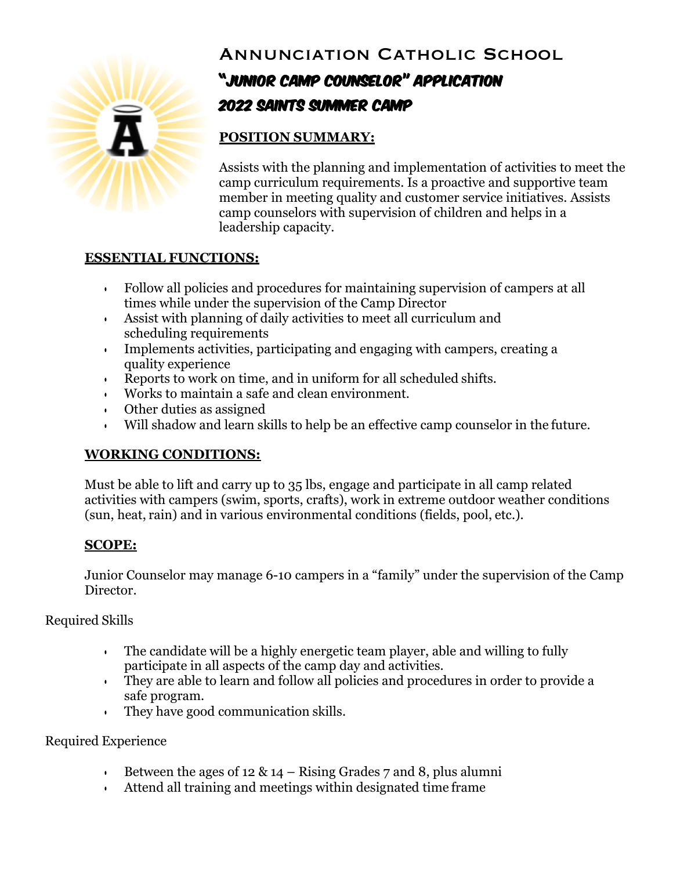

# Annunciation Catholic School

# "Junior Camp Counselor" Application 2022 Saints Summer Camp

# **POSITION SUMMARY:**

Assists with the planning and implementation of activities to meet the camp curriculum requirements. Is a proactive and supportive team member in meeting quality and customer service initiatives. Assists camp counselors with supervision of children and helps in a leadership capacity.

### **ESSENTIAL FUNCTIONS:**

- Follow all policies and procedures for maintaining supervision of campers at all times while under the supervision of the Camp Director
- Assist with planning of daily activities to meet all curriculum and scheduling requirements
- Implements activities, participating and engaging with campers, creating a quality experience
- Reports to work on time, and in uniform for all scheduled shifts.
- Works to maintain a safe and clean environment.
- Other duties as assigned
- Will shadow and learn skills to help be an effective camp counselor in the future.

## **WORKING CONDITIONS:**

Must be able to lift and carry up to 35 lbs, engage and participate in all camp related activities with campers (swim, sports, crafts), work in extreme outdoor weather conditions (sun, heat, rain) and in various environmental conditions (fields, pool, etc.).

### **SCOPE:**

Junior Counselor may manage 6-10 campers in a "family" under the supervision of the Camp Director.

## Required Skills

- The candidate will be a highly energetic team player, able and willing to fully participate in all aspects of the camp day and activities.
- They are able to learn and follow all policies and procedures in order to provide a safe program.
- They have good communication skills.

### Required Experience

- Between the ages of 12 & 14 Rising Grades 7 and 8, plus alumni
- Attend all training and meetings within designated time frame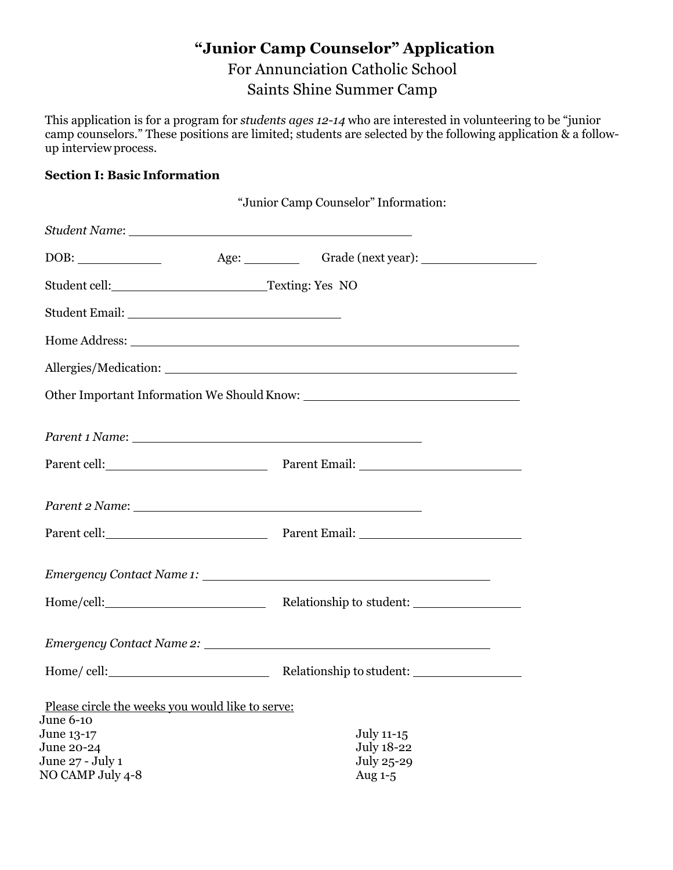# **"Junior Camp Counselor" Application** For Annunciation Catholic School Saints Shine Summer Camp

This application is for a program for *students ages 12-14* who are interested in volunteering to be "junior camp counselors." These positions are limited; students are selected by the following application & a followup interviewprocess.

### **Section I: Basic Information**

|                                                               | "Junior Camp Counselor" Information:                                                                                                                                                                                           |
|---------------------------------------------------------------|--------------------------------------------------------------------------------------------------------------------------------------------------------------------------------------------------------------------------------|
|                                                               |                                                                                                                                                                                                                                |
|                                                               |                                                                                                                                                                                                                                |
|                                                               |                                                                                                                                                                                                                                |
|                                                               |                                                                                                                                                                                                                                |
|                                                               |                                                                                                                                                                                                                                |
|                                                               |                                                                                                                                                                                                                                |
|                                                               |                                                                                                                                                                                                                                |
|                                                               | Parent 1 Name: 1 Name: 1 Name: 1 Name: 1 Name: 1 Name: 1 Name: 1 Name: 1 Name: 1 Name: 1 Name: 1 Name: 1 Name: 1 Name: 1 Name: 1 Name: 1 Name: 1 Name: 1 Name: 1 Name: 1 Name: 1 Name: 1 Name: 1 Name: 1 Name: 1 Name: 1 Name: |
|                                                               | Parent cell: Parent Email: Parent Email:                                                                                                                                                                                       |
|                                                               | Parent 2 Name: 2008 and 2 Name and 2 Name and 2 Name and 2 Name and 2 Name and 2 Name and 2 Name and 2 Name and 2 Name and 2 Name and 2 Name and 2 Name and 2 Name and 2 Name and 2 Name and 2 Name and 2 Name and 2 Name and  |
|                                                               | Parent cell: Parent Email: Parent Email:                                                                                                                                                                                       |
|                                                               |                                                                                                                                                                                                                                |
|                                                               | Relationship to student:                                                                                                                                                                                                       |
|                                                               |                                                                                                                                                                                                                                |
|                                                               | Home/cell: Relationship to student:                                                                                                                                                                                            |
| Please circle the weeks you would like to serve:<br>June 6-10 |                                                                                                                                                                                                                                |
| June 13-17                                                    | July 11-15                                                                                                                                                                                                                     |
| June 20-24<br>June 27 - July 1                                | <b>July 18-22</b><br>July 25-29                                                                                                                                                                                                |
| NO CAMP July 4-8                                              | Aug 1-5                                                                                                                                                                                                                        |